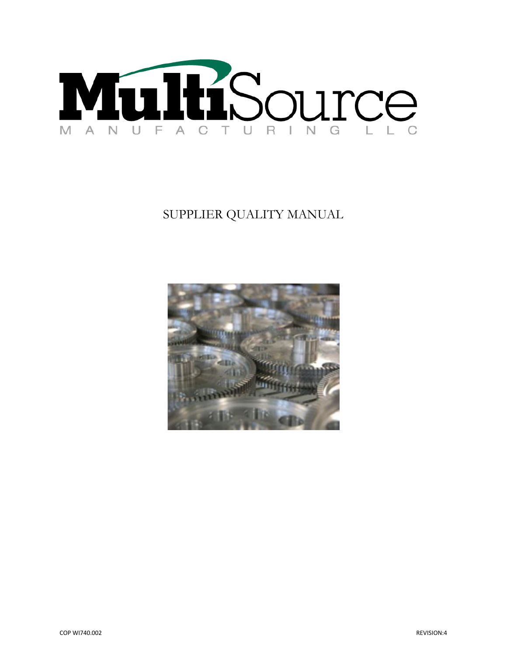

# SUPPLIER QUALITY MANUAL

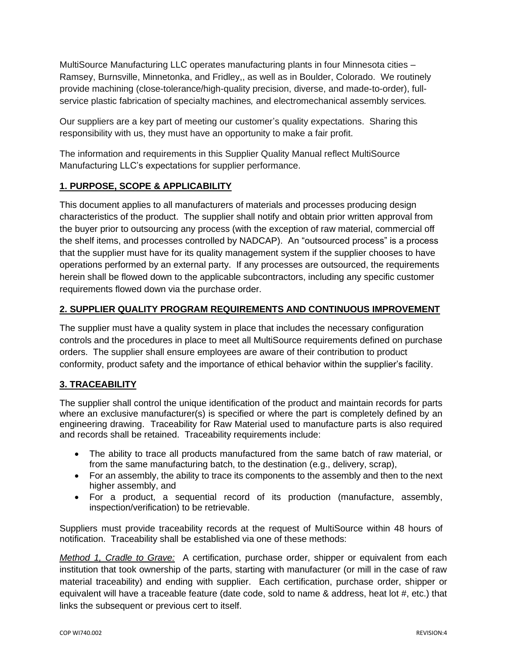MultiSource Manufacturing LLC operates manufacturing plants in four Minnesota cities – Ramsey, Burnsville, Minnetonka, and Fridley,, as well as in Boulder, Colorado. We routinely provide machining (close-tolerance/high-quality precision, diverse, and made-to-order), fullservice plastic fabrication of specialty machines*,* and electromechanical assembly services*.*

Our suppliers are a key part of meeting our customer's quality expectations. Sharing this responsibility with us, they must have an opportunity to make a fair profit.

The information and requirements in this Supplier Quality Manual reflect MultiSource Manufacturing LLC's expectations for supplier performance.

# **1. PURPOSE, SCOPE & APPLICABILITY**

This document applies to all manufacturers of materials and processes producing design characteristics of the product. The supplier shall notify and obtain prior written approval from the buyer prior to outsourcing any process (with the exception of raw material, commercial off the shelf items, and processes controlled by NADCAP). An "outsourced process" is a process that the supplier must have for its quality management system if the supplier chooses to have operations performed by an external party. If any processes are outsourced, the requirements herein shall be flowed down to the applicable subcontractors, including any specific customer requirements flowed down via the purchase order.

# **2. SUPPLIER QUALITY PROGRAM REQUIREMENTS AND CONTINUOUS IMPROVEMENT**

The supplier must have a quality system in place that includes the necessary configuration controls and the procedures in place to meet all MultiSource requirements defined on purchase orders. The supplier shall ensure employees are aware of their contribution to product conformity, product safety and the importance of ethical behavior within the supplier's facility.

# **3. TRACEABILITY**

The supplier shall control the unique identification of the product and maintain records for parts where an exclusive manufacturer(s) is specified or where the part is completely defined by an engineering drawing. Traceability for Raw Material used to manufacture parts is also required and records shall be retained. Traceability requirements include:

- The ability to trace all products manufactured from the same batch of raw material, or from the same manufacturing batch, to the destination (e.g., delivery, scrap),
- For an assembly, the ability to trace its components to the assembly and then to the next higher assembly, and
- For a product, a sequential record of its production (manufacture, assembly, inspection/verification) to be retrievable.

Suppliers must provide traceability records at the request of MultiSource within 48 hours of notification. Traceability shall be established via one of these methods:

*Method 1, Cradle to Grave:* A certification, purchase order, shipper or equivalent from each institution that took ownership of the parts, starting with manufacturer (or mill in the case of raw material traceability) and ending with supplier. Each certification, purchase order, shipper or equivalent will have a traceable feature (date code, sold to name & address, heat lot #, etc.) that links the subsequent or previous cert to itself.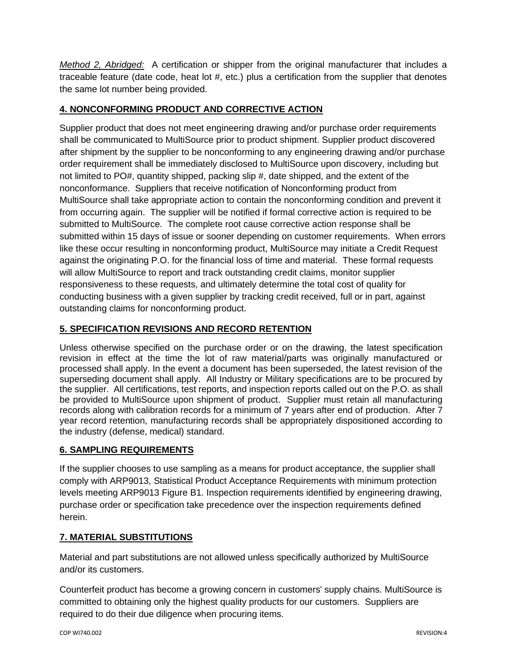*Method 2, Abridged:* A certification or shipper from the original manufacturer that includes a traceable feature (date code, heat lot #, etc.) plus a certification from the supplier that denotes the same lot number being provided.

# **4. NONCONFORMING PRODUCT AND CORRECTIVE ACTION**

Supplier product that does not meet engineering drawing and/or purchase order requirements shall be communicated to MultiSource prior to product shipment. Supplier product discovered after shipment by the supplier to be nonconforming to any engineering drawing and/or purchase order requirement shall be immediately disclosed to MultiSource upon discovery, including but not limited to PO#, quantity shipped, packing slip #, date shipped, and the extent of the nonconformance. Suppliers that receive notification of Nonconforming product from MultiSource shall take appropriate action to contain the nonconforming condition and prevent it from occurring again. The supplier will be notified if formal corrective action is required to be submitted to MultiSource. The complete root cause corrective action response shall be submitted within 15 days of issue or sooner depending on customer requirements. When errors like these occur resulting in nonconforming product, MultiSource may initiate a Credit Request against the originating P.O. for the financial loss of time and material. These formal requests will allow MultiSource to report and track outstanding credit claims, monitor supplier responsiveness to these requests, and ultimately determine the total cost of quality for conducting business with a given supplier by tracking credit received, full or in part, against outstanding claims for nonconforming product.

# **5. SPECIFICATION REVISIONS AND RECORD RETENTION**

Unless otherwise specified on the purchase order or on the drawing, the latest specification revision in effect at the time the lot of raw material/parts was originally manufactured or processed shall apply. In the event a document has been superseded, the latest revision of the superseding document shall apply. All Industry or Military specifications are to be procured by the supplier. All certifications, test reports, and inspection reports called out on the P.O. as shall be provided to MultiSource upon shipment of product. Supplier must retain all manufacturing records along with calibration records for a minimum of 7 years after end of production. After 7 year record retention, manufacturing records shall be appropriately dispositioned according to the industry (defense, medical) standard.

# **6. SAMPLING REQUIREMENTS**

If the supplier chooses to use sampling as a means for product acceptance, the supplier shall comply with ARP9013, Statistical Product Acceptance Requirements with minimum protection levels meeting ARP9013 Figure B1. Inspection requirements identified by engineering drawing, purchase order or specification take precedence over the inspection requirements defined herein.

# **7. MATERIAL SUBSTITUTIONS**

Material and part substitutions are not allowed unless specifically authorized by MultiSource and/or its customers.

Counterfeit product has become a growing concern in customers' supply chains. MultiSource is committed to obtaining only the highest quality products for our customers. Suppliers are required to do their due diligence when procuring items.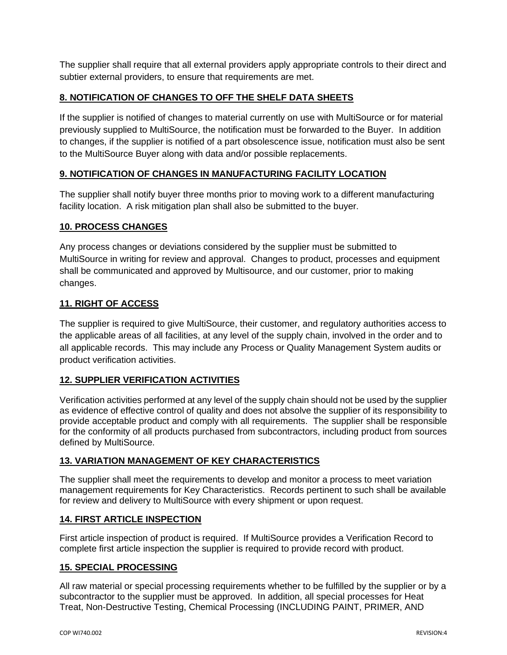The supplier shall require that all external providers apply appropriate controls to their direct and subtier external providers, to ensure that requirements are met.

# **8. NOTIFICATION OF CHANGES TO OFF THE SHELF DATA SHEETS**

If the supplier is notified of changes to material currently on use with MultiSource or for material previously supplied to MultiSource, the notification must be forwarded to the Buyer. In addition to changes, if the supplier is notified of a part obsolescence issue, notification must also be sent to the MultiSource Buyer along with data and/or possible replacements.

# **9. NOTIFICATION OF CHANGES IN MANUFACTURING FACILITY LOCATION**

The supplier shall notify buyer three months prior to moving work to a different manufacturing facility location. A risk mitigation plan shall also be submitted to the buyer.

#### **10. PROCESS CHANGES**

Any process changes or deviations considered by the supplier must be submitted to MultiSource in writing for review and approval. Changes to product, processes and equipment shall be communicated and approved by Multisource, and our customer, prior to making changes.

## **11. RIGHT OF ACCESS**

The supplier is required to give MultiSource, their customer, and regulatory authorities access to the applicable areas of all facilities, at any level of the supply chain, involved in the order and to all applicable records. This may include any Process or Quality Management System audits or product verification activities.

#### **12. SUPPLIER VERIFICATION ACTIVITIES**

Verification activities performed at any level of the supply chain should not be used by the supplier as evidence of effective control of quality and does not absolve the supplier of its responsibility to provide acceptable product and comply with all requirements. The supplier shall be responsible for the conformity of all products purchased from subcontractors, including product from sources defined by MultiSource.

#### **13. VARIATION MANAGEMENT OF KEY CHARACTERISTICS**

The supplier shall meet the requirements to develop and monitor a process to meet variation management requirements for Key Characteristics. Records pertinent to such shall be available for review and delivery to MultiSource with every shipment or upon request.

#### **14. FIRST ARTICLE INSPECTION**

First article inspection of product is required. If MultiSource provides a Verification Record to complete first article inspection the supplier is required to provide record with product.

#### **15. SPECIAL PROCESSING**

All raw material or special processing requirements whether to be fulfilled by the supplier or by a subcontractor to the supplier must be approved. In addition, all special processes for Heat Treat, Non-Destructive Testing, Chemical Processing (INCLUDING PAINT, PRIMER, AND